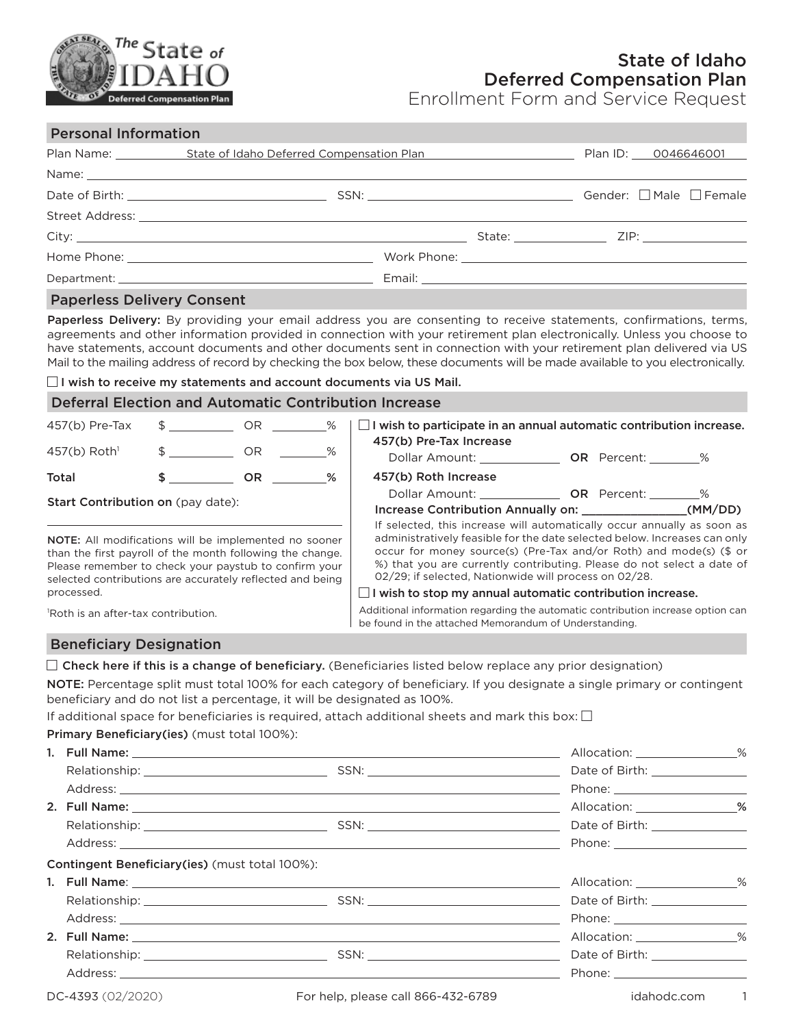

Enrollment Form and Service Request

## Personal Information

|                                                                                                                 |  |  | Plan ID: 0046646001 |
|-----------------------------------------------------------------------------------------------------------------|--|--|---------------------|
|                                                                                                                 |  |  |                     |
|                                                                                                                 |  |  |                     |
|                                                                                                                 |  |  |                     |
|                                                                                                                 |  |  |                     |
|                                                                                                                 |  |  |                     |
|                                                                                                                 |  |  |                     |
| the contract of the contract of the contract of the contract of the contract of the contract of the contract of |  |  |                     |

### Paperless Delivery Consent

Paperless Delivery: By providing your email address you are consenting to receive statements, confirmations, terms, agreements and other information provided in connection with your retirement plan electronically. Unless you choose to have statements, account documents and other documents sent in connection with your retirement plan delivered via US Mail to the mailing address of record by checking the box below, these documents will be made available to you electronically.

 $\Box$  I wish to receive my statements and account documents via US Mail.

### Deferral Election and Automatic Contribution Increase

| $457(b)$ Pre-Tax                                                                                                                                                                                                                                | $\texttt{\$} \qquad \texttt{\_} \qquad \texttt{\_} \qquad \texttt{\_} \qquad \texttt{\_} \qquad \texttt{\_} \qquad \texttt{\_} \qquad \texttt{\_} \qquad \texttt{\_}$ |     |                                                                                                                                                                                                                                                                                    | $\Box$ I wish to participate in an annual automatic contribution increase.                                                               |  |  |
|-------------------------------------------------------------------------------------------------------------------------------------------------------------------------------------------------------------------------------------------------|-----------------------------------------------------------------------------------------------------------------------------------------------------------------------|-----|------------------------------------------------------------------------------------------------------------------------------------------------------------------------------------------------------------------------------------------------------------------------------------|------------------------------------------------------------------------------------------------------------------------------------------|--|--|
| $457(b)$ Roth <sup>1</sup>                                                                                                                                                                                                                      | $\sim$ OR                                                                                                                                                             |     | %                                                                                                                                                                                                                                                                                  | 457(b) Pre-Tax Increase<br>Dollar Amount: <b>OR</b> Percent: %                                                                           |  |  |
| Total                                                                                                                                                                                                                                           | $\mathsf{s}$ and $\mathsf{s}$                                                                                                                                         | OR. | %                                                                                                                                                                                                                                                                                  | 457(b) Roth Increase                                                                                                                     |  |  |
| <b>Start Contribution on (pay date):</b>                                                                                                                                                                                                        |                                                                                                                                                                       |     |                                                                                                                                                                                                                                                                                    | Dollar Amount: <b>OR</b> Percent: %<br>If selected, this increase will automatically occur annually as soon as                           |  |  |
| <b>NOTE:</b> All modifications will be implemented no sooner<br>than the first payroll of the month following the change.<br>Please remember to check your paystub to confirm your<br>selected contributions are accurately reflected and being |                                                                                                                                                                       |     | administratively feasible for the date selected below. Increases can only<br>occur for money source(s) (Pre-Tax and/or Roth) and mode(s) (\$ or<br>%) that you are currently contributing. Please do not select a date of<br>02/29; if selected, Nationwide will process on 02/28. |                                                                                                                                          |  |  |
| processed.                                                                                                                                                                                                                                      |                                                                                                                                                                       |     |                                                                                                                                                                                                                                                                                    | $\Box$ I wish to stop my annual automatic contribution increase.                                                                         |  |  |
| <sup>1</sup> Roth is an after-tax contribution.                                                                                                                                                                                                 |                                                                                                                                                                       |     |                                                                                                                                                                                                                                                                                    | Additional information regarding the automatic contribution increase option can<br>be found in the attached Memorandum of Understanding. |  |  |

# Beneficiary Designation

 $\Box$  Check here if this is a change of beneficiary. (Beneficiaries listed below replace any prior designation)

NOTE: Percentage split must total 100% for each category of beneficiary. If you designate a single primary or contingent beneficiary and do not list a percentage, it will be designated as 100%.

If additional space for beneficiaries is required, attach additional sheets and mark this box:  $\square$ 

# Primary Beneficiary(ies) (must total 100%):

|                                                       |                                    | Allocation: ________________% |  |
|-------------------------------------------------------|------------------------------------|-------------------------------|--|
|                                                       |                                    |                               |  |
|                                                       |                                    |                               |  |
| <b>Contingent Beneficiary(ies)</b> (must total 100%): |                                    |                               |  |
|                                                       |                                    | Allocation: ________________% |  |
|                                                       |                                    |                               |  |
|                                                       |                                    |                               |  |
|                                                       |                                    | Allocation: 26                |  |
|                                                       |                                    |                               |  |
|                                                       |                                    |                               |  |
| DC-4393 (02/2020)                                     | For help, please call 866-432-6789 | idahodc.com 1                 |  |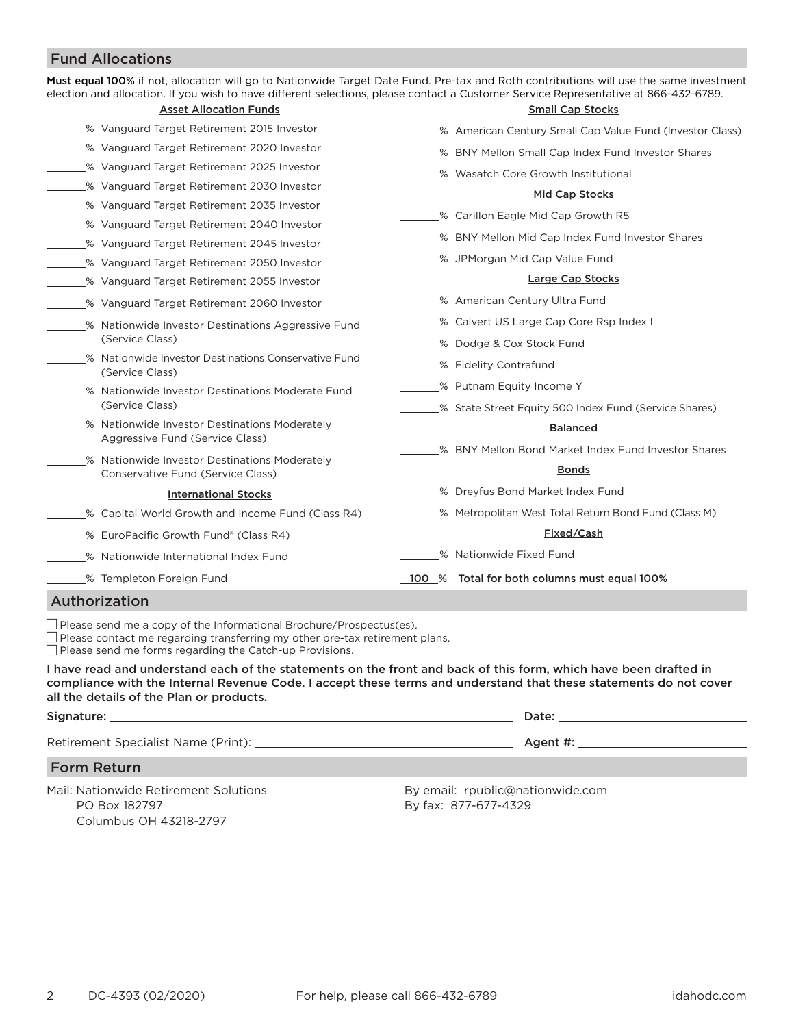# Fund Allocations

| election and allocation. If you wish to have different selections, please contact a Customer Service Representative at 866-432-6789. | Must equal 100% if not, allocation will go to Nationwide Target Date Fund. Pre-tax and Roth contributions will use the same investment |
|--------------------------------------------------------------------------------------------------------------------------------------|----------------------------------------------------------------------------------------------------------------------------------------|
| <b>Asset Allocation Funds</b>                                                                                                        | <b>Small Cap Stocks</b>                                                                                                                |
| % Vanguard Target Retirement 2015 Investor                                                                                           | % American Century Small Cap Value Fund (Investor Class)                                                                               |
| 1020 S Vanguard Target Retirement 2020 Investor                                                                                      | % BNY Mellon Small Cap Index Fund Investor Shares                                                                                      |
| % Vanguard Target Retirement 2025 Investor                                                                                           | % Wasatch Core Growth Institutional                                                                                                    |
| % Vanguard Target Retirement 2030 Investor                                                                                           | Mid Cap Stocks                                                                                                                         |
| % Vanguard Target Retirement 2035 Investor                                                                                           | % Carillon Eagle Mid Cap Growth R5                                                                                                     |
| % Vanguard Target Retirement 2040 Investor                                                                                           | % BNY Mellon Mid Cap Index Fund Investor Shares                                                                                        |
| % Vanguard Target Retirement 2045 Investor                                                                                           |                                                                                                                                        |
| % Vanguard Target Retirement 2050 Investor                                                                                           | _% JPMorgan Mid Cap Value Fund                                                                                                         |
| % Vanguard Target Retirement 2055 Investor                                                                                           | Large Cap Stocks                                                                                                                       |
| % Vanguard Target Retirement 2060 Investor                                                                                           | _% American Century Ultra Fund                                                                                                         |
| % Nationwide Investor Destinations Aggressive Fund                                                                                   | % Calvert US Large Cap Core Rsp Index I                                                                                                |
| (Service Class)                                                                                                                      | % Dodge & Cox Stock Fund                                                                                                               |
| % Nationwide Investor Destinations Conservative Fund<br>(Service Class)                                                              | % Fidelity Contrafund                                                                                                                  |
| % Nationwide Investor Destinations Moderate Fund                                                                                     | % Putnam Equity Income Y                                                                                                               |
| (Service Class)                                                                                                                      | _% State Street Equity 500 Index Fund (Service Shares)                                                                                 |
| % Nationwide Investor Destinations Moderately<br>Aggressive Fund (Service Class)                                                     | <b>Balanced</b>                                                                                                                        |
|                                                                                                                                      | % BNY Mellon Bond Market Index Fund Investor Shares                                                                                    |
| % Nationwide Investor Destinations Moderately<br>Conservative Fund (Service Class)                                                   | <b>Bonds</b>                                                                                                                           |
| <b>International Stocks</b>                                                                                                          | % Dreyfus Bond Market Index Fund                                                                                                       |
| % Capital World Growth and Income Fund (Class R4)                                                                                    | % Metropolitan West Total Return Bond Fund (Class M)                                                                                   |
| % EuroPacific Growth Fund® (Class R4)                                                                                                | Fixed/Cash                                                                                                                             |
| % Nationwide International Index Fund                                                                                                | % Nationwide Fixed Fund                                                                                                                |
| _% Templeton Foreign Fund                                                                                                            | 100 % Total for both columns must equal 100%                                                                                           |

# Authorization

 $\Box$  Please send me a copy of the Informational Brochure/Prospectus(es).

 $\Box$  Please contact me regarding transferring my other pre-tax retirement plans.

 $\Box$  Please send me forms regarding the Catch-up Provisions.

I have read and understand each of the statements on the front and back of this form, which have been drafted in compliance with the Internal Revenue Code. I accept these terms and understand that these statements do not cover all the details of the Plan or products.

| Signature:                                                        | Date:                                                                     |  |
|-------------------------------------------------------------------|---------------------------------------------------------------------------|--|
| Retirement Specialist Name (Print): 2008 2012 2022 2023           | Agent #:                                                                  |  |
| <b>Form Return</b>                                                |                                                                           |  |
| Mail: Nationwide Retirement Solutions<br>$DA$ $D_{\Omega}$ 100707 | By email: rpublic@nationwide.com<br>$D_{11}$ $f_{21}$ , 077 $g$ 77 $1700$ |  |

PO Box 182797 Columbus OH 43218-2797 By fax: 877-677-4329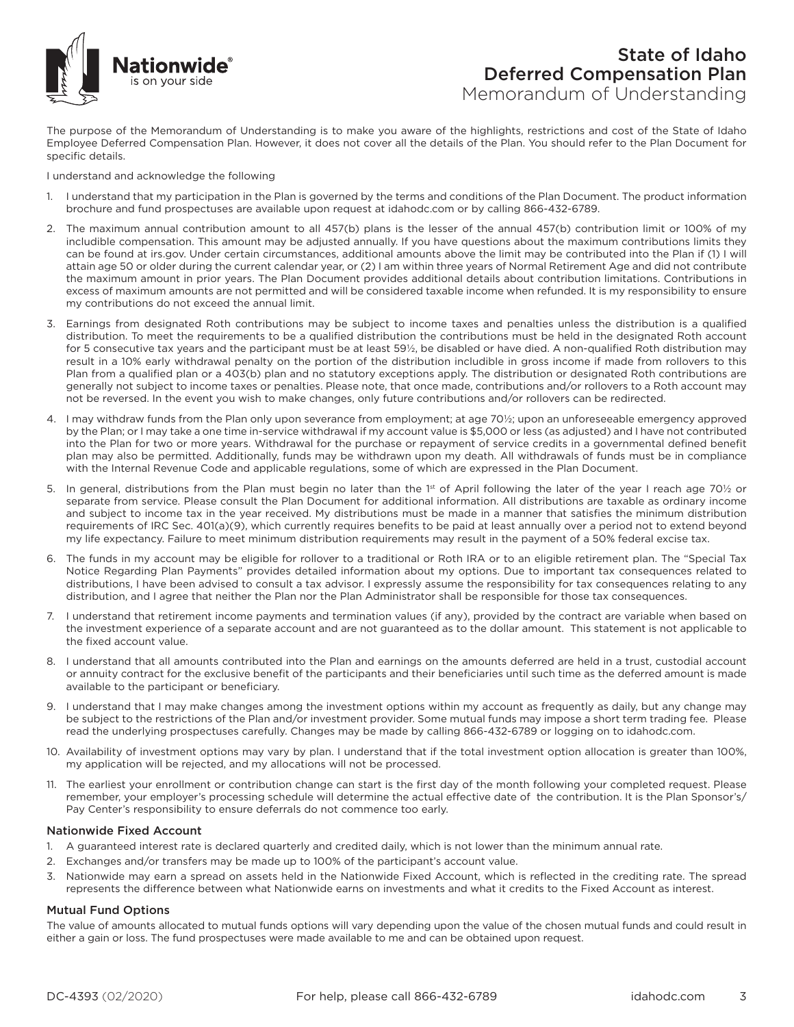

The purpose of the Memorandum of Understanding is to make you aware of the highlights, restrictions and cost of the State of Idaho Employee Deferred Compensation Plan. However, it does not cover all the details of the Plan. You should refer to the Plan Document for specific details.

I understand and acknowledge the following

- 1. I understand that my participation in the Plan is governed by the terms and conditions of the Plan Document. The product information brochure and fund prospectuses are available upon request at idahodc.com or by calling 866-432-6789.
- 2. The maximum annual contribution amount to all 457(b) plans is the lesser of the annual 457(b) contribution limit or 100% of my includible compensation. This amount may be adjusted annually. If you have questions about the maximum contributions limits they can be found at irs.gov. Under certain circumstances, additional amounts above the limit may be contributed into the Plan if (1) I will attain age 50 or older during the current calendar year, or (2) I am within three years of Normal Retirement Age and did not contribute the maximum amount in prior years. The Plan Document provides additional details about contribution limitations. Contributions in excess of maximum amounts are not permitted and will be considered taxable income when refunded. It is my responsibility to ensure my contributions do not exceed the annual limit.
- 3. Earnings from designated Roth contributions may be subject to income taxes and penalties unless the distribution is a qualified distribution. To meet the requirements to be a qualified distribution the contributions must be held in the designated Roth account for 5 consecutive tax years and the participant must be at least 59½, be disabled or have died. A non-qualified Roth distribution may result in a 10% early withdrawal penalty on the portion of the distribution includible in gross income if made from rollovers to this Plan from a qualified plan or a 403(b) plan and no statutory exceptions apply. The distribution or designated Roth contributions are generally not subject to income taxes or penalties. Please note, that once made, contributions and/or rollovers to a Roth account may not be reversed. In the event you wish to make changes, only future contributions and/or rollovers can be redirected.
- 4. I may withdraw funds from the Plan only upon severance from employment; at age 70½; upon an unforeseeable emergency approved by the Plan; or I may take a one time in-service withdrawal if my account value is \$5,000 or less (as adjusted) and I have not contributed into the Plan for two or more years. Withdrawal for the purchase or repayment of service credits in a governmental defined benefit plan may also be permitted. Additionally, funds may be withdrawn upon my death. All withdrawals of funds must be in compliance with the Internal Revenue Code and applicable regulations, some of which are expressed in the Plan Document.
- 5. In general, distributions from the Plan must begin no later than the 1st of April following the later of the year I reach age 701/2 or separate from service. Please consult the Plan Document for additional information. All distributions are taxable as ordinary income and subject to income tax in the year received. My distributions must be made in a manner that satisfies the minimum distribution requirements of IRC Sec. 401(a)(9), which currently requires benefits to be paid at least annually over a period not to extend beyond my life expectancy. Failure to meet minimum distribution requirements may result in the payment of a 50% federal excise tax.
- 6. The funds in my account may be eligible for rollover to a traditional or Roth IRA or to an eligible retirement plan. The "Special Tax Notice Regarding Plan Payments" provides detailed information about my options. Due to important tax consequences related to distributions, I have been advised to consult a tax advisor. I expressly assume the responsibility for tax consequences relating to any distribution, and I agree that neither the Plan nor the Plan Administrator shall be responsible for those tax consequences.
- 7. I understand that retirement income payments and termination values (if any), provided by the contract are variable when based on the investment experience of a separate account and are not guaranteed as to the dollar amount. This statement is not applicable to the fixed account value.
- 8. I understand that all amounts contributed into the Plan and earnings on the amounts deferred are held in a trust, custodial account or annuity contract for the exclusive benefit of the participants and their beneficiaries until such time as the deferred amount is made available to the participant or beneficiary.
- 9. I understand that I may make changes among the investment options within my account as frequently as daily, but any change may be subject to the restrictions of the Plan and/or investment provider. Some mutual funds may impose a short term trading fee. Please read the underlying prospectuses carefully. Changes may be made by calling 866-432-6789 or logging on to idahodc.com.
- 10. Availability of investment options may vary by plan. I understand that if the total investment option allocation is greater than 100%, my application will be rejected, and my allocations will not be processed.
- 11. The earliest your enrollment or contribution change can start is the first day of the month following your completed request. Please remember, your employer's processing schedule will determine the actual effective date of the contribution. It is the Plan Sponsor's/ Pay Center's responsibility to ensure deferrals do not commence too early.

### Nationwide Fixed Account

- 1. A guaranteed interest rate is declared quarterly and credited daily, which is not lower than the minimum annual rate.
- 2. Exchanges and/or transfers may be made up to 100% of the participant's account value.
- 3. Nationwide may earn a spread on assets held in the Nationwide Fixed Account, which is reflected in the crediting rate. The spread represents the difference between what Nationwide earns on investments and what it credits to the Fixed Account as interest.

### Mutual Fund Options

The value of amounts allocated to mutual funds options will vary depending upon the value of the chosen mutual funds and could result in either a gain or loss. The fund prospectuses were made available to me and can be obtained upon request.